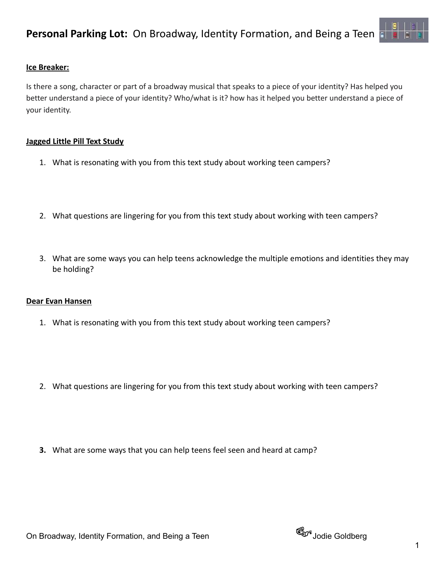

# **Ice Breaker:**

Is there a song, character or part of a broadway musical that speaks to a piece of your identity? Has helped you better understand a piece of your identity? Who/what is it? how has it helped you better understand a piece of your identity.

## **Jagged Little Pill Text Study**

- 1. What is resonating with you from this text study about working teen campers?
- 2. What questions are lingering for you from this text study about working with teen campers?
- 3. What are some ways you can help teens acknowledge the multiple emotions and identities they may be holding?

## **Dear Evan Hansen**

- 1. What is resonating with you from this text study about working teen campers?
- 2. What questions are lingering for you from this text study about working with teen campers?
- **3.** What are some ways that you can help teens feel seen and heard at camp?

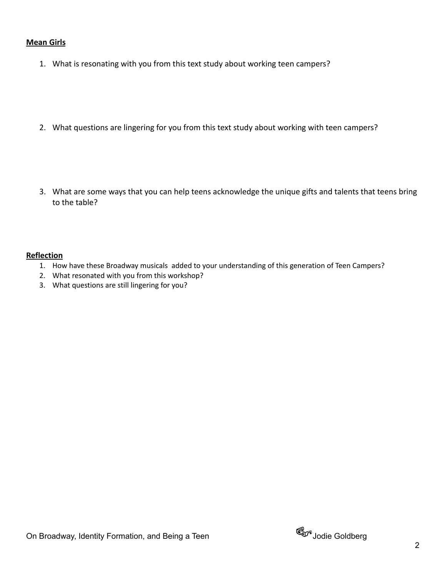### **Mean Girls**

- 1. What is resonating with you from this text study about working teen campers?
- 2. What questions are lingering for you from this text study about working with teen campers?
- 3. What are some ways that you can help teens acknowledge the unique gifts and talents that teens bring to the table?

#### **Reflection**

- 1. How have these Broadway musicals added to your understanding of this generation of Teen Campers?
- 2. What resonated with you from this workshop?
- 3. What questions are still lingering for you?